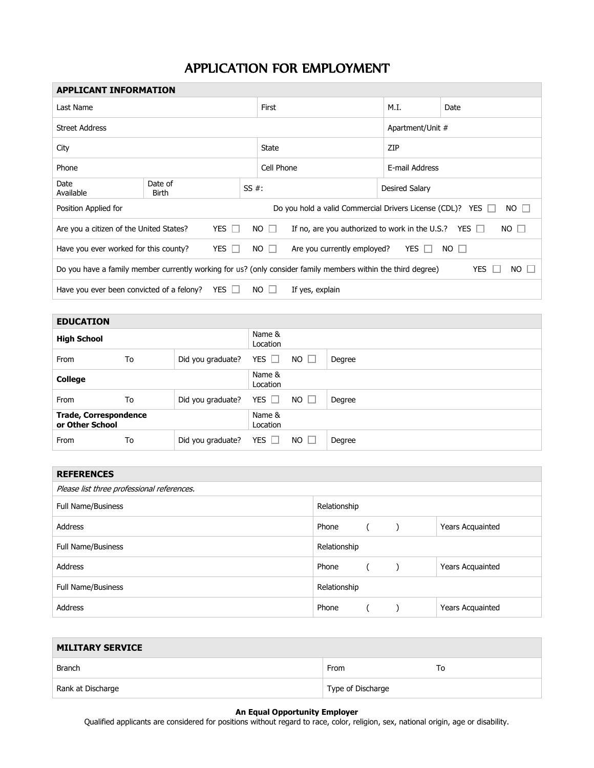## APPLICATION FOR EMPLOYMENT

| <b>APPLICANT INFORMATION</b>                                                                                                      |                  |  |            |             |                                                                          |                  |      |  |
|-----------------------------------------------------------------------------------------------------------------------------------|------------------|--|------------|-------------|--------------------------------------------------------------------------|------------------|------|--|
| Last Name                                                                                                                         |                  |  |            | First       |                                                                          | M.I.             | Date |  |
| <b>Street Address</b>                                                                                                             |                  |  |            |             |                                                                          | Apartment/Unit # |      |  |
| City                                                                                                                              |                  |  |            | State       |                                                                          | ZIP              |      |  |
| Phone                                                                                                                             |                  |  | Cell Phone |             | E-mail Address                                                           |                  |      |  |
| Date<br>Available                                                                                                                 | Date of<br>Birth |  | $SS#$ :    |             |                                                                          | Desired Salary   |      |  |
| Do you hold a valid Commercial Drivers License (CDL)? YES □<br>$NO \Box$<br>Position Applied for                                  |                  |  |            |             |                                                                          |                  |      |  |
| YES $\Box$<br>Are you a citizen of the United States?                                                                             |                  |  |            | $NO$ $\Box$ | If no, are you authorized to work in the U.S.? YES $\Box$<br>$NO$ $\Box$ |                  |      |  |
| YES $\Box$<br>Are you currently employed?<br>$NO$ $\Box$<br>Have you ever worked for this county?<br>$NO$ $\Box$<br>YES $\Box$    |                  |  |            |             |                                                                          |                  |      |  |
| Do you have a family member currently working for us? (only consider family members within the third degree)<br><b>YES</b><br>NO. |                  |  |            |             |                                                                          |                  |      |  |
| YES $\Box$<br>Have you ever been convicted of a felony?<br>NO.<br>If yes, explain                                                 |                  |  |            |             |                                                                          |                  |      |  |

| <b>EDUCATION</b>                                |    |                   |                    |               |        |
|-------------------------------------------------|----|-------------------|--------------------|---------------|--------|
| <b>High School</b>                              |    |                   | Name &<br>Location |               |        |
| From                                            | To | Did you graduate? | YES $\Box$         | $NO \Box$     | Degree |
| <b>College</b>                                  |    |                   | Name &<br>Location |               |        |
| From                                            | To | Did you graduate? | YES $\Box$         | $NO$ $\Box$   | Degree |
| <b>Trade, Correspondence</b><br>or Other School |    |                   | Name &<br>Location |               |        |
| From                                            | To | Did you graduate? | YES $\Box$         | NO.<br>$\Box$ | Degree |

| <b>REFERENCES</b>                          |              |  |  |                         |
|--------------------------------------------|--------------|--|--|-------------------------|
| Please list three professional references. |              |  |  |                         |
| <b>Full Name/Business</b>                  | Relationship |  |  |                         |
| Address                                    | Phone        |  |  | <b>Years Acquainted</b> |
| Full Name/Business                         | Relationship |  |  |                         |
| <b>Address</b>                             | Phone        |  |  | Years Acquainted        |
| <b>Full Name/Business</b>                  | Relationship |  |  |                         |
| <b>Address</b>                             | Phone        |  |  | Years Acquainted        |

| <b>MILITARY SERVICE</b> |                   |    |  |  |  |  |
|-------------------------|-------------------|----|--|--|--|--|
| <b>Branch</b>           | From              | То |  |  |  |  |
| Rank at Discharge       | Type of Discharge |    |  |  |  |  |

## **An Equal Opportunity Employer**

Qualified applicants are considered for positions without regard to race, color, religion, sex, national origin, age or disability.